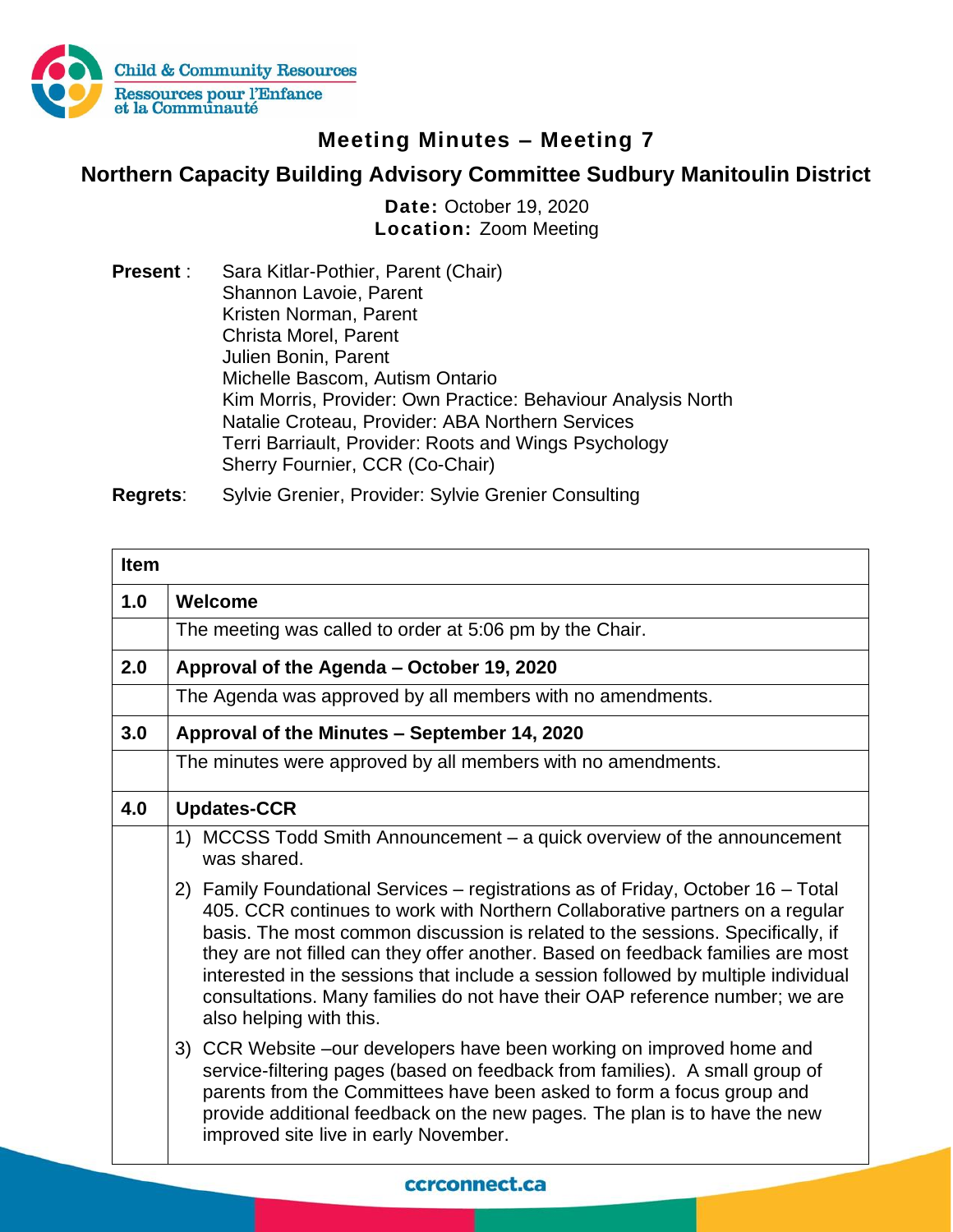

## **Meeting Minutes – Meeting 7**

## **Northern Capacity Building Advisory Committee Sudbury Manitoulin District**

**Date:** October 19, 2020 **Location:** Zoom Meeting

**Present** : Sara Kitlar-Pothier, Parent (Chair) Shannon Lavoie, Parent Kristen Norman, Parent Christa Morel, Parent Julien Bonin, Parent Michelle Bascom, Autism Ontario Kim Morris, Provider: Own Practice: Behaviour Analysis North Natalie Croteau, Provider: ABA Northern Services Terri Barriault, Provider: Roots and Wings Psychology Sherry Fournier, CCR (Co-Chair)

**Regrets**: Sylvie Grenier, Provider: Sylvie Grenier Consulting

| <b>Item</b> |                                                                                                                                                                                                                                                                                                                                                                                                                                                                                                                                      |
|-------------|--------------------------------------------------------------------------------------------------------------------------------------------------------------------------------------------------------------------------------------------------------------------------------------------------------------------------------------------------------------------------------------------------------------------------------------------------------------------------------------------------------------------------------------|
| 1.0         | Welcome                                                                                                                                                                                                                                                                                                                                                                                                                                                                                                                              |
|             | The meeting was called to order at 5:06 pm by the Chair.                                                                                                                                                                                                                                                                                                                                                                                                                                                                             |
| 2.0         | Approval of the Agenda - October 19, 2020                                                                                                                                                                                                                                                                                                                                                                                                                                                                                            |
|             | The Agenda was approved by all members with no amendments.                                                                                                                                                                                                                                                                                                                                                                                                                                                                           |
| 3.0         | Approval of the Minutes - September 14, 2020                                                                                                                                                                                                                                                                                                                                                                                                                                                                                         |
|             | The minutes were approved by all members with no amendments.                                                                                                                                                                                                                                                                                                                                                                                                                                                                         |
| 4.0         | <b>Updates-CCR</b>                                                                                                                                                                                                                                                                                                                                                                                                                                                                                                                   |
|             | 1) MCCSS Todd Smith Announcement – a quick overview of the announcement<br>was shared.                                                                                                                                                                                                                                                                                                                                                                                                                                               |
|             | 2) Family Foundational Services – registrations as of Friday, October 16 – Total<br>405. CCR continues to work with Northern Collaborative partners on a regular<br>basis. The most common discussion is related to the sessions. Specifically, if<br>they are not filled can they offer another. Based on feedback families are most<br>interested in the sessions that include a session followed by multiple individual<br>consultations. Many families do not have their OAP reference number; we are<br>also helping with this. |
|             | 3) CCR Website –our developers have been working on improved home and<br>service-filtering pages (based on feedback from families). A small group of<br>parents from the Committees have been asked to form a focus group and<br>provide additional feedback on the new pages. The plan is to have the new<br>improved site live in early November.                                                                                                                                                                                  |

## ccrconnect.ca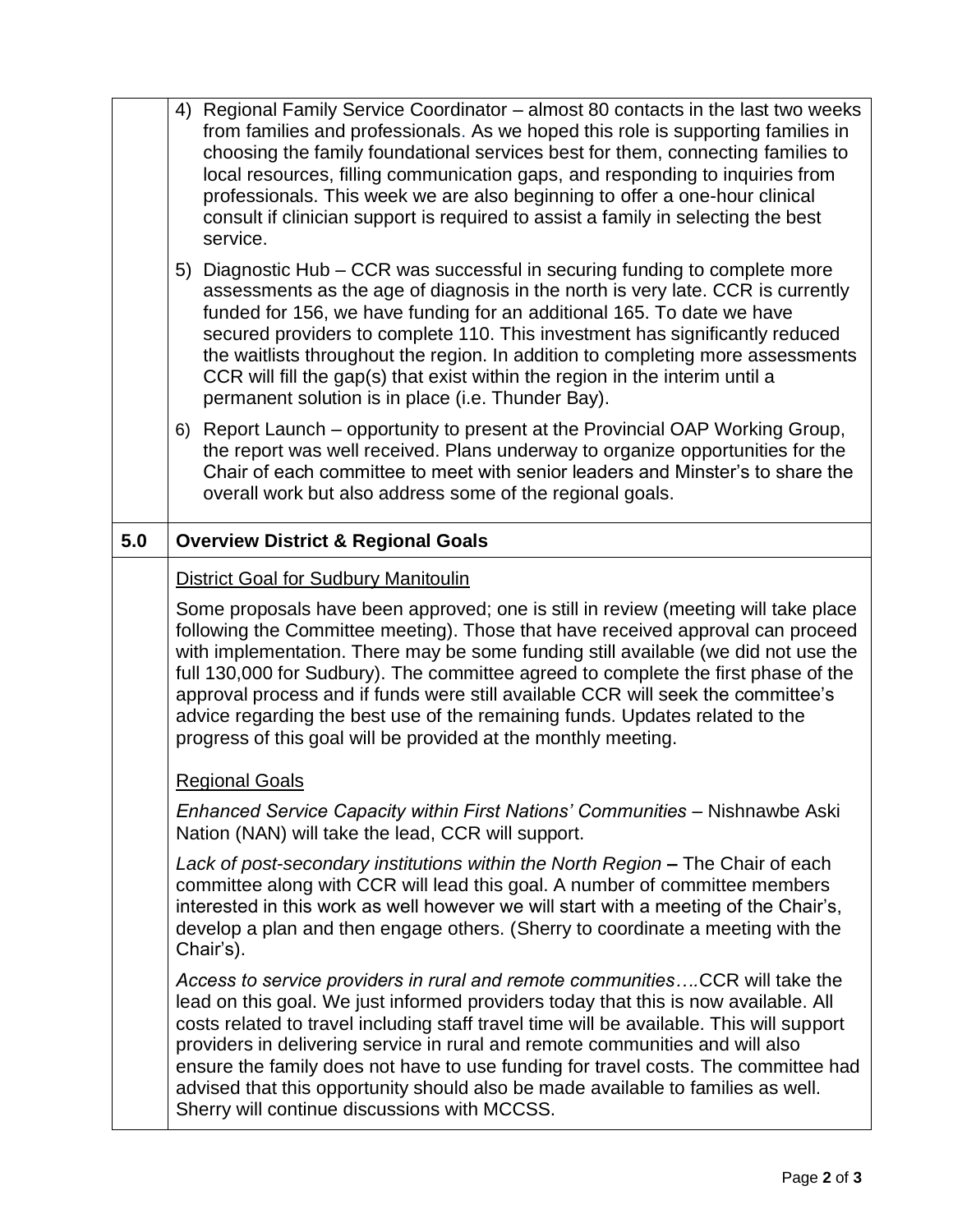|     | 4) Regional Family Service Coordinator – almost 80 contacts in the last two weeks<br>from families and professionals. As we hoped this role is supporting families in<br>choosing the family foundational services best for them, connecting families to<br>local resources, filling communication gaps, and responding to inquiries from<br>professionals. This week we are also beginning to offer a one-hour clinical<br>consult if clinician support is required to assist a family in selecting the best<br>service.                                                               |
|-----|-----------------------------------------------------------------------------------------------------------------------------------------------------------------------------------------------------------------------------------------------------------------------------------------------------------------------------------------------------------------------------------------------------------------------------------------------------------------------------------------------------------------------------------------------------------------------------------------|
|     | 5) Diagnostic Hub – CCR was successful in securing funding to complete more<br>assessments as the age of diagnosis in the north is very late. CCR is currently<br>funded for 156, we have funding for an additional 165. To date we have<br>secured providers to complete 110. This investment has significantly reduced<br>the waitlists throughout the region. In addition to completing more assessments<br>CCR will fill the gap(s) that exist within the region in the interim until a<br>permanent solution is in place (i.e. Thunder Bay).                                       |
|     | 6) Report Launch – opportunity to present at the Provincial OAP Working Group,<br>the report was well received. Plans underway to organize opportunities for the<br>Chair of each committee to meet with senior leaders and Minster's to share the<br>overall work but also address some of the regional goals.                                                                                                                                                                                                                                                                         |
| 5.0 | <b>Overview District &amp; Regional Goals</b>                                                                                                                                                                                                                                                                                                                                                                                                                                                                                                                                           |
|     | <b>District Goal for Sudbury Manitoulin</b>                                                                                                                                                                                                                                                                                                                                                                                                                                                                                                                                             |
|     | Some proposals have been approved; one is still in review (meeting will take place<br>following the Committee meeting). Those that have received approval can proceed<br>with implementation. There may be some funding still available (we did not use the<br>full 130,000 for Sudbury). The committee agreed to complete the first phase of the<br>approval process and if funds were still available CCR will seek the committee's<br>advice regarding the best use of the remaining funds. Updates related to the<br>progress of this goal will be provided at the monthly meeting. |
|     | <b>Regional Goals</b>                                                                                                                                                                                                                                                                                                                                                                                                                                                                                                                                                                   |
|     | Enhanced Service Capacity within First Nations' Communities - Nishnawbe Aski<br>Nation (NAN) will take the lead, CCR will support.                                                                                                                                                                                                                                                                                                                                                                                                                                                      |
|     | Lack of post-secondary institutions within the North Region - The Chair of each<br>committee along with CCR will lead this goal. A number of committee members<br>interested in this work as well however we will start with a meeting of the Chair's,<br>develop a plan and then engage others. (Sherry to coordinate a meeting with the<br>Chair's).                                                                                                                                                                                                                                  |
|     | Access to service providers in rural and remote communitiesCCR will take the<br>lead on this goal. We just informed providers today that this is now available. All<br>costs related to travel including staff travel time will be available. This will support<br>providers in delivering service in rural and remote communities and will also<br>ensure the family does not have to use funding for travel costs. The committee had<br>advised that this opportunity should also be made available to families as well.<br>Sherry will continue discussions with MCCSS.              |